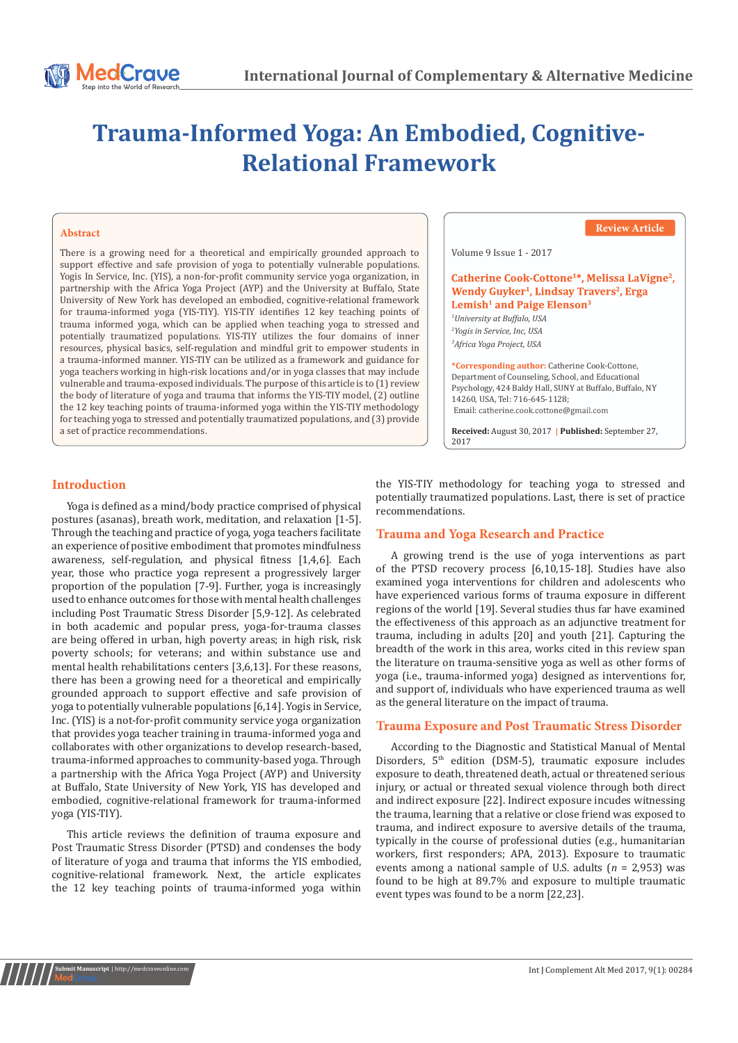# **Trauma-Informed Yoga: An Embodied, Cognitive-Relational Framework**

#### **Abstract**

There is a growing need for a theoretical and empirically grounded approach to support effective and safe provision of yoga to potentially vulnerable populations. Yogis In Service, Inc. (YIS), a non-for-profit community service yoga organization, in partnership with the Africa Yoga Project (AYP) and the University at Buffalo, State University of New York has developed an embodied, cognitive-relational framework for trauma-informed yoga (YIS-TIY). YIS-TIY identifies 12 key teaching points of trauma informed yoga, which can be applied when teaching yoga to stressed and potentially traumatized populations. YIS-TIY utilizes the four domains of inner resources, physical basics, self-regulation and mindful grit to empower students in a trauma-informed manner. YIS-TIY can be utilized as a framework and guidance for yoga teachers working in high-risk locations and/or in yoga classes that may include vulnerable and trauma-exposed individuals. The purpose of this article is to (1) review the body of literature of yoga and trauma that informs the YIS-TIY model, (2) outline the 12 key teaching points of trauma-informed yoga within the YIS-TIY methodology for teaching yoga to stressed and potentially traumatized populations, and (3) provide a set of practice recommendations.



## **Introduction**

Yoga is defined as a mind/body practice comprised of physical postures (asanas), breath work, meditation, and relaxation [1-5]. Through the teaching and practice of yoga, yoga teachers facilitate an experience of positive embodiment that promotes mindfulness awareness, self-regulation, and physical fitness [1,4,6]. Each year, those who practice yoga represent a progressively larger proportion of the population [7-9]. Further, yoga is increasingly used to enhance outcomes for those with mental health challenges including Post Traumatic Stress Disorder [5,9-12]. As celebrated in both academic and popular press, yoga-for-trauma classes are being offered in urban, high poverty areas; in high risk, risk poverty schools; for veterans; and within substance use and mental health rehabilitations centers [3,6,13]. For these reasons, there has been a growing need for a theoretical and empirically grounded approach to support effective and safe provision of yoga to potentially vulnerable populations [6,14]. Yogis in Service, Inc. (YIS) is a not-for-profit community service yoga organization that provides yoga teacher training in trauma-informed yoga and collaborates with other organizations to develop research-based, trauma-informed approaches to community-based yoga. Through a partnership with the Africa Yoga Project (AYP) and University at Buffalo, State University of New York, YIS has developed and embodied, cognitive-relational framework for trauma-informed yoga (YIS-TIY).

This article reviews the definition of trauma exposure and Post Traumatic Stress Disorder (PTSD) and condenses the body of literature of yoga and trauma that informs the YIS embodied, cognitive-relational framework. Next, the article explicates the 12 key teaching points of trauma-informed yoga within

**Submit Manuscript** | http://medcraveonline.com

the YIS-TIY methodology for teaching yoga to stressed and potentially traumatized populations. Last, there is set of practice recommendations.

## **Trauma and Yoga Research and Practice**

A growing trend is the use of yoga interventions as part of the PTSD recovery process [6,10,15-18]. Studies have also examined yoga interventions for children and adolescents who have experienced various forms of trauma exposure in different regions of the world [19]. Several studies thus far have examined the effectiveness of this approach as an adjunctive treatment for trauma, including in adults [20] and youth [21]. Capturing the breadth of the work in this area, works cited in this review span the literature on trauma-sensitive yoga as well as other forms of yoga (i.e., trauma-informed yoga) designed as interventions for, and support of, individuals who have experienced trauma as well as the general literature on the impact of trauma.

### **Trauma Exposure and Post Traumatic Stress Disorder**

According to the Diagnostic and Statistical Manual of Mental Disorders,  $5<sup>th</sup>$  edition (DSM-5), traumatic exposure includes exposure to death, threatened death, actual or threatened serious injury, or actual or threated sexual violence through both direct and indirect exposure [22]. Indirect exposure incudes witnessing the trauma, learning that a relative or close friend was exposed to trauma, and indirect exposure to aversive details of the trauma, typically in the course of professional duties (e.g., humanitarian workers, first responders; APA, 2013). Exposure to traumatic events among a national sample of U.S. adults (*n* = 2,953) was found to be high at 89.7% and exposure to multiple traumatic event types was found to be a norm [22,23].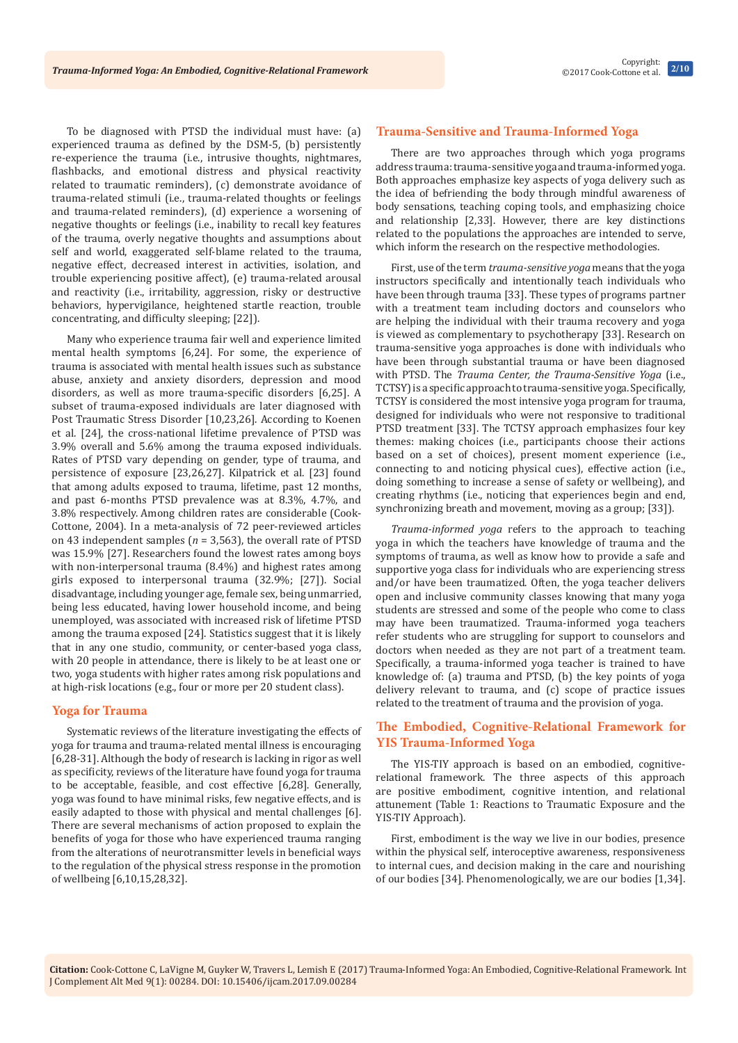To be diagnosed with PTSD the individual must have: (a) experienced trauma as defined by the DSM-5, (b) persistently re-experience the trauma (i.e., intrusive thoughts, nightmares, flashbacks, and emotional distress and physical reactivity related to traumatic reminders), (c) demonstrate avoidance of trauma-related stimuli (i.e., trauma-related thoughts or feelings and trauma-related reminders), (d) experience a worsening of negative thoughts or feelings (i.e., inability to recall key features of the trauma, overly negative thoughts and assumptions about self and world, exaggerated self-blame related to the trauma, negative effect, decreased interest in activities, isolation, and trouble experiencing positive affect), (e) trauma-related arousal and reactivity (i.e., irritability, aggression, risky or destructive behaviors, hypervigilance, heightened startle reaction, trouble concentrating, and difficulty sleeping; [22]).

Many who experience trauma fair well and experience limited mental health symptoms [6,24]. For some, the experience of trauma is associated with mental health issues such as substance abuse, anxiety and anxiety disorders, depression and mood disorders, as well as more trauma-specific disorders [6,25]. A subset of trauma-exposed individuals are later diagnosed with Post Traumatic Stress Disorder [10,23,26]. According to Koenen et al. [24], the cross-national lifetime prevalence of PTSD was 3.9% overall and 5.6% among the trauma exposed individuals. Rates of PTSD vary depending on gender, type of trauma, and persistence of exposure [23,26,27]. Kilpatrick et al. [23] found that among adults exposed to trauma, lifetime, past 12 months, and past 6-months PTSD prevalence was at 8.3%, 4.7%, and 3.8% respectively. Among children rates are considerable (Cook-Cottone, 2004). In a meta-analysis of 72 peer-reviewed articles on 43 independent samples (*n* = 3,563), the overall rate of PTSD was 15.9% [27]. Researchers found the lowest rates among boys with non-interpersonal trauma (8.4%) and highest rates among girls exposed to interpersonal trauma (32.9%; [27]). Social disadvantage, including younger age, female sex, being unmarried, being less educated, having lower household income, and being unemployed, was associated with increased risk of lifetime PTSD among the trauma exposed [24]. Statistics suggest that it is likely that in any one studio, community, or center-based yoga class, with 20 people in attendance, there is likely to be at least one or two, yoga students with higher rates among risk populations and at high-risk locations (e.g., four or more per 20 student class).

## **Yoga for Trauma**

Systematic reviews of the literature investigating the effects of yoga for trauma and trauma-related mental illness is encouraging [6,28-31]. Although the body of research is lacking in rigor as well as specificity, reviews of the literature have found yoga for trauma to be acceptable, feasible, and cost effective [6,28]. Generally, yoga was found to have minimal risks, few negative effects, and is easily adapted to those with physical and mental challenges [6]. There are several mechanisms of action proposed to explain the benefits of yoga for those who have experienced trauma ranging from the alterations of neurotransmitter levels in beneficial ways to the regulation of the physical stress response in the promotion of wellbeing [6,10,15,28,32].

## **Trauma-Sensitive and Trauma-Informed Yoga**

There are two approaches through which yoga programs address trauma: trauma-sensitive yoga and trauma-informed yoga. Both approaches emphasize key aspects of yoga delivery such as the idea of befriending the body through mindful awareness of body sensations, teaching coping tools, and emphasizing choice and relationship [2,33]. However, there are key distinctions related to the populations the approaches are intended to serve, which inform the research on the respective methodologies.

First, use of the term *trauma-sensitive yoga* means that the yoga instructors specifically and intentionally teach individuals who have been through trauma [33]. These types of programs partner with a treatment team including doctors and counselors who are helping the individual with their trauma recovery and yoga is viewed as complementary to psychotherapy [33]. Research on trauma-sensitive yoga approaches is done with individuals who have been through substantial trauma or have been diagnosed with PTSD. The *Trauma Center, the Trauma-Sensitive Yoga* (i.e., TCTSY) is a specific approach to trauma-sensitive yoga. Specifically, TCTSY is considered the most intensive yoga program for trauma, designed for individuals who were not responsive to traditional PTSD treatment [33]. The TCTSY approach emphasizes four key themes: making choices (i.e., participants choose their actions based on a set of choices), present moment experience (i.e., connecting to and noticing physical cues), effective action (i.e., doing something to increase a sense of safety or wellbeing), and creating rhythms (i.e., noticing that experiences begin and end, synchronizing breath and movement, moving as a group; [33]).

*Trauma-informed yoga* refers to the approach to teaching yoga in which the teachers have knowledge of trauma and the symptoms of trauma, as well as know how to provide a safe and supportive yoga class for individuals who are experiencing stress and/or have been traumatized. Often, the yoga teacher delivers open and inclusive community classes knowing that many yoga students are stressed and some of the people who come to class may have been traumatized. Trauma-informed yoga teachers refer students who are struggling for support to counselors and doctors when needed as they are not part of a treatment team. Specifically, a trauma-informed yoga teacher is trained to have knowledge of: (a) trauma and PTSD, (b) the key points of yoga delivery relevant to trauma, and (c) scope of practice issues related to the treatment of trauma and the provision of yoga.

# **The Embodied, Cognitive-Relational Framework for YIS Trauma-Informed Yoga**

The YIS-TIY approach is based on an embodied, cognitiverelational framework. The three aspects of this approach are positive embodiment, cognitive intention, and relational attunement (Table 1: Reactions to Traumatic Exposure and the YIS-TIY Approach).

First, embodiment is the way we live in our bodies, presence within the physical self, interoceptive awareness, responsiveness to internal cues, and decision making in the care and nourishing of our bodies [34]. Phenomenologically, we are our bodies [1,34].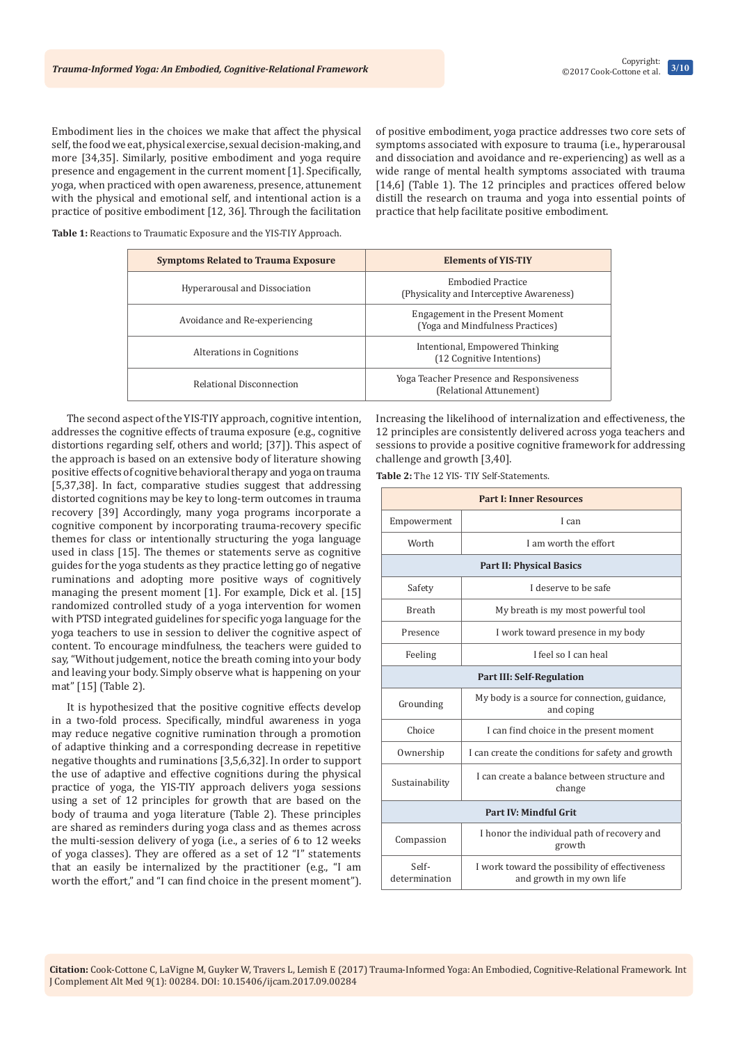Embodiment lies in the choices we make that affect the physical self, the food we eat, physical exercise, sexual decision-making, and more [34,35]. Similarly, positive embodiment and yoga require presence and engagement in the current moment [1]. Specifically, yoga, when practiced with open awareness, presence, attunement with the physical and emotional self, and intentional action is a practice of positive embodiment [12, 36]. Through the facilitation

of positive embodiment, yoga practice addresses two core sets of symptoms associated with exposure to trauma (i.e., hyperarousal and dissociation and avoidance and re-experiencing) as well as a wide range of mental health symptoms associated with trauma [14,6] (Table 1). The 12 principles and practices offered below distill the research on trauma and yoga into essential points of practice that help facilitate positive embodiment.

**Table 1:** Reactions to Traumatic Exposure and the YIS-TIY Approach.

| <b>Symptoms Related to Trauma Exposure</b> | <b>Elements of YIS-TIY</b>                                           |
|--------------------------------------------|----------------------------------------------------------------------|
| Hyperarousal and Dissociation              | <b>Embodied Practice</b><br>(Physicality and Interceptive Awareness) |
| Avoidance and Re-experiencing              | Engagement in the Present Moment<br>(Yoga and Mindfulness Practices) |
| Alterations in Cognitions                  | Intentional, Empowered Thinking<br>(12 Cognitive Intentions)         |
| Relational Disconnection                   | Yoga Teacher Presence and Responsiveness<br>(Relational Attunement)  |

The second aspect of the YIS-TIY approach, cognitive intention, addresses the cognitive effects of trauma exposure (e.g., cognitive distortions regarding self, others and world; [37]). This aspect of the approach is based on an extensive body of literature showing positive effects of cognitive behavioral therapy and yoga on trauma [5,37,38]. In fact, comparative studies suggest that addressing distorted cognitions may be key to long-term outcomes in trauma recovery [39] Accordingly, many yoga programs incorporate a cognitive component by incorporating trauma-recovery specific themes for class or intentionally structuring the yoga language used in class [15]. The themes or statements serve as cognitive guides for the yoga students as they practice letting go of negative ruminations and adopting more positive ways of cognitively managing the present moment [1]. For example, Dick et al. [15] randomized controlled study of a yoga intervention for women with PTSD integrated guidelines for specific yoga language for the yoga teachers to use in session to deliver the cognitive aspect of content. To encourage mindfulness, the teachers were guided to say, "Without judgement, notice the breath coming into your body and leaving your body. Simply observe what is happening on your mat" [15] (Table 2).

It is hypothesized that the positive cognitive effects develop in a two-fold process. Specifically, mindful awareness in yoga may reduce negative cognitive rumination through a promotion of adaptive thinking and a corresponding decrease in repetitive negative thoughts and ruminations [3,5,6,32]. In order to support the use of adaptive and effective cognitions during the physical practice of yoga, the YIS-TIY approach delivers yoga sessions using a set of 12 principles for growth that are based on the body of trauma and yoga literature (Table 2). These principles are shared as reminders during yoga class and as themes across the multi-session delivery of yoga (i.e., a series of 6 to 12 weeks of yoga classes). They are offered as a set of 12 "I" statements that an easily be internalized by the practitioner (e.g., "I am worth the effort," and "I can find choice in the present moment"). Increasing the likelihood of internalization and effectiveness, the 12 principles are consistently delivered across yoga teachers and sessions to provide a positive cognitive framework for addressing challenge and growth [3,40].

**Table 2:** The 12 YIS- TIY Self-Statements.

| <b>Part I: Inner Resources</b>   |                                                                             |  |
|----------------------------------|-----------------------------------------------------------------------------|--|
| Empowerment                      | I can                                                                       |  |
| Worth                            | I am worth the effort                                                       |  |
| <b>Part II: Physical Basics</b>  |                                                                             |  |
| Safety                           | I deserve to be safe                                                        |  |
| <b>Breath</b>                    | My breath is my most powerful tool                                          |  |
| Presence                         | I work toward presence in my body                                           |  |
| Feeling                          | I feel so I can heal                                                        |  |
| <b>Part III: Self-Regulation</b> |                                                                             |  |
| Grounding                        | My body is a source for connection, guidance,<br>and coping                 |  |
| Choice                           | I can find choice in the present moment                                     |  |
| Ownership                        | I can create the conditions for safety and growth                           |  |
| Sustainability                   | I can create a balance between structure and<br>change                      |  |
| Part IV: Mindful Grit            |                                                                             |  |
| Compassion                       | I honor the individual path of recovery and<br>growth                       |  |
| Self-<br>determination           | I work toward the possibility of effectiveness<br>and growth in my own life |  |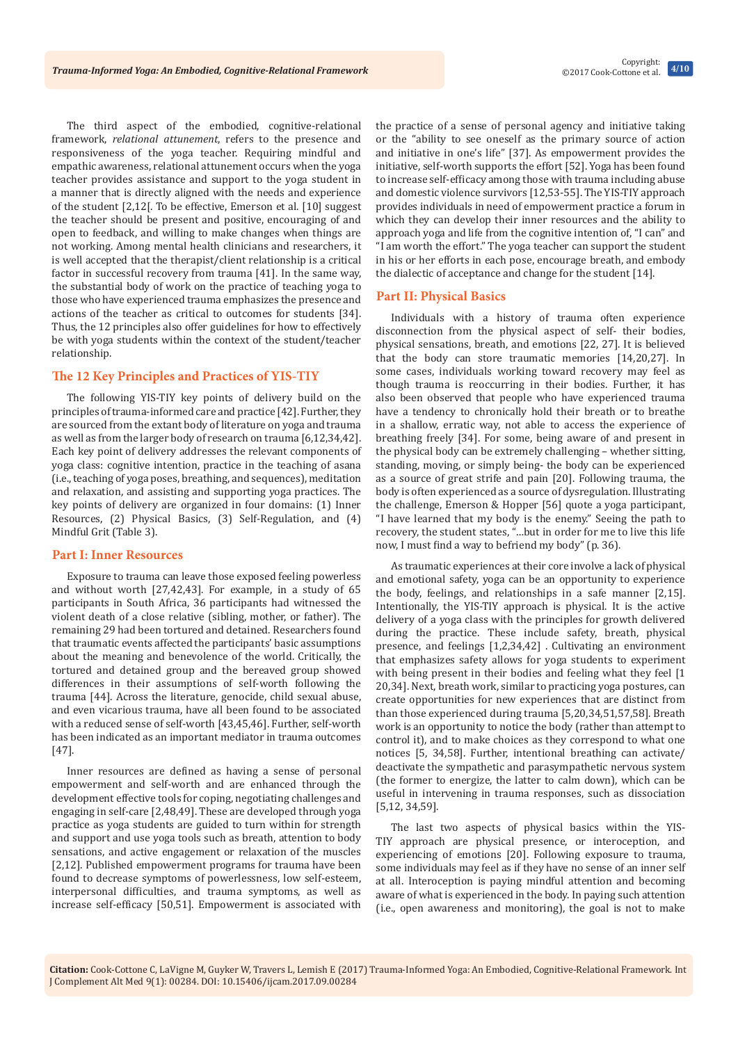The third aspect of the embodied, cognitive-relational framework, *relational attunement*, refers to the presence and responsiveness of the yoga teacher. Requiring mindful and empathic awareness, relational attunement occurs when the yoga teacher provides assistance and support to the yoga student in a manner that is directly aligned with the needs and experience of the student [2,12[. To be effective, Emerson et al. [10] suggest the teacher should be present and positive, encouraging of and open to feedback, and willing to make changes when things are not working. Among mental health clinicians and researchers, it is well accepted that the therapist/client relationship is a critical factor in successful recovery from trauma [41]. In the same way, the substantial body of work on the practice of teaching yoga to those who have experienced trauma emphasizes the presence and actions of the teacher as critical to outcomes for students [34]. Thus, the 12 principles also offer guidelines for how to effectively be with yoga students within the context of the student/teacher relationship.

# **The 12 Key Principles and Practices of YIS-TIY**

The following YIS-TIY key points of delivery build on the principles of trauma-informed care and practice [42]. Further, they are sourced from the extant body of literature on yoga and trauma as well as from the larger body of research on trauma [6,12,34,42]. Each key point of delivery addresses the relevant components of yoga class: cognitive intention, practice in the teaching of asana (i.e., teaching of yoga poses, breathing, and sequences), meditation and relaxation, and assisting and supporting yoga practices. The key points of delivery are organized in four domains: (1) Inner Resources, (2) Physical Basics, (3) Self-Regulation, and (4) Mindful Grit (Table 3).

#### **Part I: Inner Resources**

Exposure to trauma can leave those exposed feeling powerless and without worth [27,42,43]. For example, in a study of 65 participants in South Africa, 36 participants had witnessed the violent death of a close relative (sibling, mother, or father). The remaining 29 had been tortured and detained. Researchers found that traumatic events affected the participants' basic assumptions about the meaning and benevolence of the world. Critically, the tortured and detained group and the bereaved group showed differences in their assumptions of self-worth following the trauma [44]. Across the literature, genocide, child sexual abuse, and even vicarious trauma, have all been found to be associated with a reduced sense of self-worth [43,45,46]. Further, self-worth has been indicated as an important mediator in trauma outcomes [47].

Inner resources are defined as having a sense of personal empowerment and self-worth and are enhanced through the development effective tools for coping, negotiating challenges and engaging in self-care [2,48,49]. These are developed through yoga practice as yoga students are guided to turn within for strength and support and use yoga tools such as breath, attention to body sensations, and active engagement or relaxation of the muscles [2,12]. Published empowerment programs for trauma have been found to decrease symptoms of powerlessness, low self-esteem, interpersonal difficulties, and trauma symptoms, as well as increase self-efficacy [50,51]. Empowerment is associated with

the practice of a sense of personal agency and initiative taking or the "ability to see oneself as the primary source of action and initiative in one's life" [37]. As empowerment provides the initiative, self-worth supports the effort [52]. Yoga has been found to increase self-efficacy among those with trauma including abuse and domestic violence survivors [12,53-55]. The YIS-TIY approach provides individuals in need of empowerment practice a forum in which they can develop their inner resources and the ability to approach yoga and life from the cognitive intention of, "I can" and "I am worth the effort." The yoga teacher can support the student in his or her efforts in each pose, encourage breath, and embody the dialectic of acceptance and change for the student [14].

#### **Part II: Physical Basics**

Individuals with a history of trauma often experience disconnection from the physical aspect of self- their bodies, physical sensations, breath, and emotions [22, 27]. It is believed that the body can store traumatic memories [14,20,27]. In some cases, individuals working toward recovery may feel as though trauma is reoccurring in their bodies. Further, it has also been observed that people who have experienced trauma have a tendency to chronically hold their breath or to breathe in a shallow, erratic way, not able to access the experience of breathing freely [34]. For some, being aware of and present in the physical body can be extremely challenging – whether sitting, standing, moving, or simply being- the body can be experienced as a source of great strife and pain [20]. Following trauma, the body is often experienced as a source of dysregulation. Illustrating the challenge, Emerson & Hopper [56] quote a yoga participant, "I have learned that my body is the enemy." Seeing the path to recovery, the student states, "…but in order for me to live this life now, I must find a way to befriend my body" (p. 36).

As traumatic experiences at their core involve a lack of physical and emotional safety, yoga can be an opportunity to experience the body, feelings, and relationships in a safe manner [2,15]. Intentionally, the YIS-TIY approach is physical. It is the active delivery of a yoga class with the principles for growth delivered during the practice. These include safety, breath, physical presence, and feelings [1,2,34,42] . Cultivating an environment that emphasizes safety allows for yoga students to experiment with being present in their bodies and feeling what they feel [1 20,34]. Next, breath work, similar to practicing yoga postures, can create opportunities for new experiences that are distinct from than those experienced during trauma [5,20,34,51,57,58]. Breath work is an opportunity to notice the body (rather than attempt to control it), and to make choices as they correspond to what one notices [5, 34,58]. Further, intentional breathing can activate/ deactivate the sympathetic and parasympathetic nervous system (the former to energize, the latter to calm down), which can be useful in intervening in trauma responses, such as dissociation [5,12, 34,59].

The last two aspects of physical basics within the YIS-TIY approach are physical presence, or interoception, and experiencing of emotions [20]. Following exposure to trauma, some individuals may feel as if they have no sense of an inner self at all. Interoception is paying mindful attention and becoming aware of what is experienced in the body. In paying such attention (i.e., open awareness and monitoring), the goal is not to make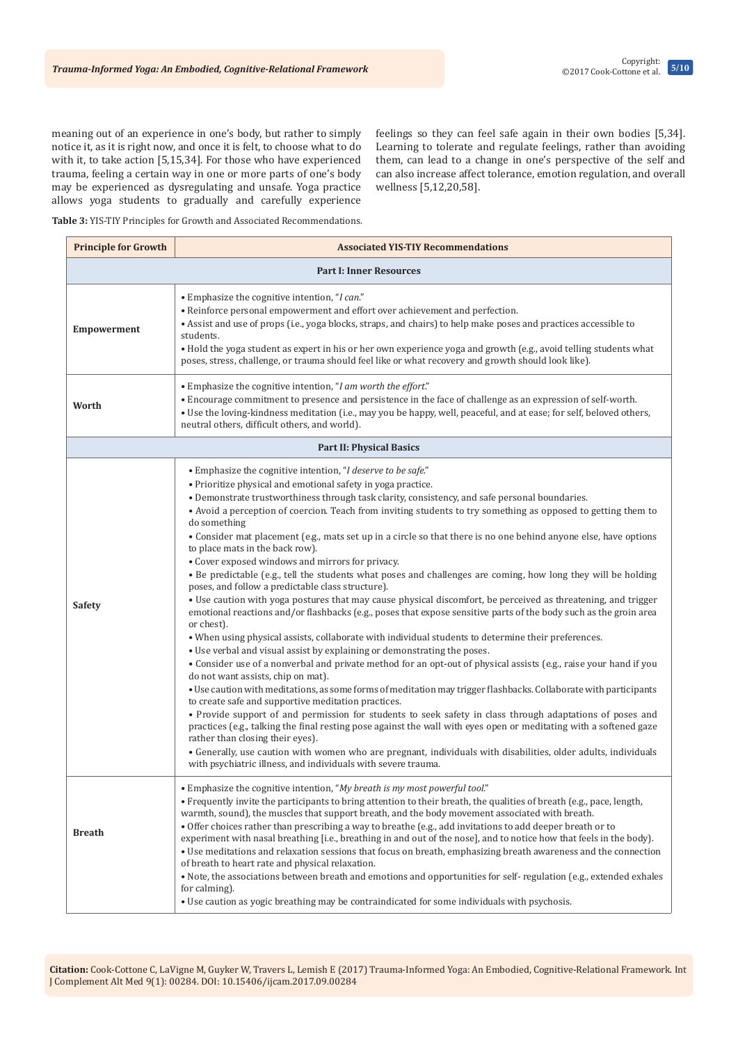meaning out of an experience in one's body, but rather to simply notice it, as it is right now, and once it is felt, to choose what to do with it, to take action [5,15,34]. For those who have experienced trauma, feeling a certain way in one or more parts of one's body may be experienced as dysregulating and unsafe. Yoga practice allows yoga students to gradually and carefully experience feelings so they can feel safe again in their own bodies [5,34]. Learning to tolerate and regulate feelings, rather than avoiding them, can lead to a change in one's perspective of the self and can also increase affect tolerance, emotion regulation, and overall wellness [5,12,20,58].

**Table 3:** YIS-TIY Principles for Growth and Associated Recommendations.

| <b>Principle for Growth</b>     | <b>Associated YIS-TIY Recommendations</b>                                                                                                                                                                                                                                                                                                                                                                                                                                                                                                                                                                                                                                                                                                                                                                                                                                                                                                                                                                                                                                                                                                                                                                                                                                                                                                                                                                                                                                                                                                                                                                                                                                                                                                                                                                                                                                                                                                                                                |  |
|---------------------------------|------------------------------------------------------------------------------------------------------------------------------------------------------------------------------------------------------------------------------------------------------------------------------------------------------------------------------------------------------------------------------------------------------------------------------------------------------------------------------------------------------------------------------------------------------------------------------------------------------------------------------------------------------------------------------------------------------------------------------------------------------------------------------------------------------------------------------------------------------------------------------------------------------------------------------------------------------------------------------------------------------------------------------------------------------------------------------------------------------------------------------------------------------------------------------------------------------------------------------------------------------------------------------------------------------------------------------------------------------------------------------------------------------------------------------------------------------------------------------------------------------------------------------------------------------------------------------------------------------------------------------------------------------------------------------------------------------------------------------------------------------------------------------------------------------------------------------------------------------------------------------------------------------------------------------------------------------------------------------------------|--|
| <b>Part I: Inner Resources</b>  |                                                                                                                                                                                                                                                                                                                                                                                                                                                                                                                                                                                                                                                                                                                                                                                                                                                                                                                                                                                                                                                                                                                                                                                                                                                                                                                                                                                                                                                                                                                                                                                                                                                                                                                                                                                                                                                                                                                                                                                          |  |
| Empowerment                     | • Emphasize the cognitive intention, "I can."<br>• Reinforce personal empowerment and effort over achievement and perfection.<br>• Assist and use of props (i.e., yoga blocks, straps, and chairs) to help make poses and practices accessible to<br>students.<br>• Hold the yoga student as expert in his or her own experience yoga and growth (e.g., avoid telling students what<br>poses, stress, challenge, or trauma should feel like or what recovery and growth should look like).                                                                                                                                                                                                                                                                                                                                                                                                                                                                                                                                                                                                                                                                                                                                                                                                                                                                                                                                                                                                                                                                                                                                                                                                                                                                                                                                                                                                                                                                                               |  |
| Worth                           | • Emphasize the cognitive intention, "I am worth the effort."<br>• Encourage commitment to presence and persistence in the face of challenge as an expression of self-worth.<br>. Use the loving-kindness meditation (i.e., may you be happy, well, peaceful, and at ease; for self, beloved others,<br>neutral others, difficult others, and world).                                                                                                                                                                                                                                                                                                                                                                                                                                                                                                                                                                                                                                                                                                                                                                                                                                                                                                                                                                                                                                                                                                                                                                                                                                                                                                                                                                                                                                                                                                                                                                                                                                    |  |
| <b>Part II: Physical Basics</b> |                                                                                                                                                                                                                                                                                                                                                                                                                                                                                                                                                                                                                                                                                                                                                                                                                                                                                                                                                                                                                                                                                                                                                                                                                                                                                                                                                                                                                                                                                                                                                                                                                                                                                                                                                                                                                                                                                                                                                                                          |  |
| Safety                          | • Emphasize the cognitive intention, "I deserve to be safe."<br>• Prioritize physical and emotional safety in yoga practice.<br>• Demonstrate trustworthiness through task clarity, consistency, and safe personal boundaries.<br>• Avoid a perception of coercion. Teach from inviting students to try something as opposed to getting them to<br>do something<br>• Consider mat placement (e.g., mats set up in a circle so that there is no one behind anyone else, have options<br>to place mats in the back row).<br>• Cover exposed windows and mirrors for privacy.<br>• Be predictable (e.g., tell the students what poses and challenges are coming, how long they will be holding<br>poses, and follow a predictable class structure).<br>• Use caution with yoga postures that may cause physical discomfort, be perceived as threatening, and trigger<br>emotional reactions and/or flashbacks (e.g., poses that expose sensitive parts of the body such as the groin area<br>or chest).<br>. When using physical assists, collaborate with individual students to determine their preferences.<br>• Use verbal and visual assist by explaining or demonstrating the poses.<br>• Consider use of a nonverbal and private method for an opt-out of physical assists (e.g., raise your hand if you<br>do not want assists, chip on mat).<br>• Use caution with meditations, as some forms of meditation may trigger flashbacks. Collaborate with participants<br>to create safe and supportive meditation practices.<br>• Provide support of and permission for students to seek safety in class through adaptations of poses and<br>practices (e.g., talking the final resting pose against the wall with eyes open or meditating with a softened gaze<br>rather than closing their eyes).<br>• Generally, use caution with women who are pregnant, individuals with disabilities, older adults, individuals<br>with psychiatric illness, and individuals with severe trauma. |  |
| <b>Breath</b>                   | • Emphasize the cognitive intention, "My breath is my most powerful tool."<br>• Frequently invite the participants to bring attention to their breath, the qualities of breath (e.g., pace, length,<br>warmth, sound), the muscles that support breath, and the body movement associated with breath.<br>. Offer choices rather than prescribing a way to breathe (e.g., add invitations to add deeper breath or to<br>experiment with nasal breathing [i.e., breathing in and out of the nose], and to notice how that feels in the body).<br>• Use meditations and relaxation sessions that focus on breath, emphasizing breath awareness and the connection<br>of breath to heart rate and physical relaxation.<br>• Note, the associations between breath and emotions and opportunities for self- regulation (e.g., extended exhales<br>for calming).<br>• Use caution as yogic breathing may be contraindicated for some individuals with psychosis.                                                                                                                                                                                                                                                                                                                                                                                                                                                                                                                                                                                                                                                                                                                                                                                                                                                                                                                                                                                                                               |  |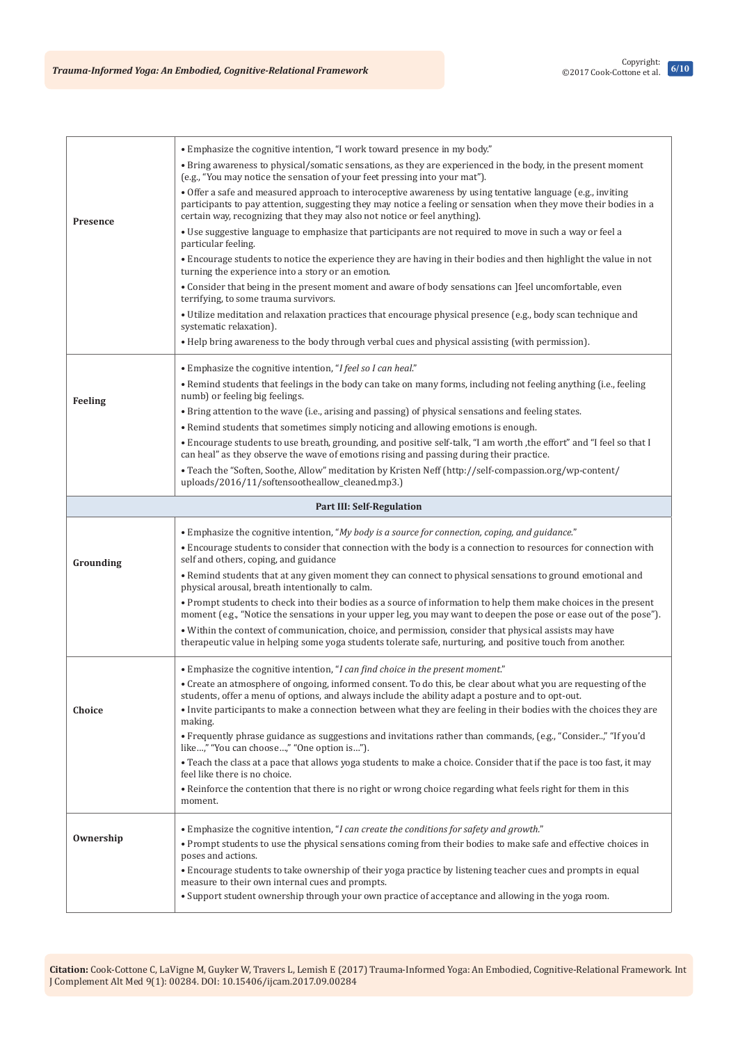| Presence  | • Emphasize the cognitive intention, "I work toward presence in my body."                                                                                                                                                                                                                                     |  |  |
|-----------|---------------------------------------------------------------------------------------------------------------------------------------------------------------------------------------------------------------------------------------------------------------------------------------------------------------|--|--|
|           | • Bring awareness to physical/somatic sensations, as they are experienced in the body, in the present moment<br>(e.g., "You may notice the sensation of your feet pressing into your mat").                                                                                                                   |  |  |
|           | • Offer a safe and measured approach to interoceptive awareness by using tentative language (e.g., inviting<br>participants to pay attention, suggesting they may notice a feeling or sensation when they move their bodies in a<br>certain way, recognizing that they may also not notice or feel anything). |  |  |
|           | • Use suggestive language to emphasize that participants are not required to move in such a way or feel a<br>particular feeling.                                                                                                                                                                              |  |  |
|           | • Encourage students to notice the experience they are having in their bodies and then highlight the value in not<br>turning the experience into a story or an emotion.                                                                                                                                       |  |  |
|           | • Consider that being in the present moment and aware of body sensations can ]feel uncomfortable, even<br>terrifying, to some trauma survivors.                                                                                                                                                               |  |  |
|           | • Utilize meditation and relaxation practices that encourage physical presence (e.g., body scan technique and<br>systematic relaxation).                                                                                                                                                                      |  |  |
|           | • Help bring awareness to the body through verbal cues and physical assisting (with permission).                                                                                                                                                                                                              |  |  |
|           | • Emphasize the cognitive intention, "I feel so I can heal."                                                                                                                                                                                                                                                  |  |  |
| Feeling   | . Remind students that feelings in the body can take on many forms, including not feeling anything (i.e., feeling<br>numb) or feeling big feelings.                                                                                                                                                           |  |  |
|           | • Bring attention to the wave (i.e., arising and passing) of physical sensations and feeling states.                                                                                                                                                                                                          |  |  |
|           | • Remind students that sometimes simply noticing and allowing emotions is enough.                                                                                                                                                                                                                             |  |  |
|           | . Encourage students to use breath, grounding, and positive self-talk, "I am worth , the effort" and "I feel so that I<br>can heal" as they observe the wave of emotions rising and passing during their practice.                                                                                            |  |  |
|           | • Teach the "Soften, Soothe, Allow" meditation by Kristen Neff (http://self-compassion.org/wp-content/<br>uploads/2016/11/softensootheallow_cleaned.mp3.)                                                                                                                                                     |  |  |
|           | <b>Part III: Self-Regulation</b>                                                                                                                                                                                                                                                                              |  |  |
|           |                                                                                                                                                                                                                                                                                                               |  |  |
|           | • Emphasize the cognitive intention, "My body is a source for connection, coping, and guidance."                                                                                                                                                                                                              |  |  |
| Grounding | • Encourage students to consider that connection with the body is a connection to resources for connection with<br>self and others, coping, and guidance                                                                                                                                                      |  |  |
|           | • Remind students that at any given moment they can connect to physical sensations to ground emotional and<br>physical arousal, breath intentionally to calm.                                                                                                                                                 |  |  |
|           | • Prompt students to check into their bodies as a source of information to help them make choices in the present<br>moment (e.g., "Notice the sensations in your upper leg, you may want to deepen the pose or ease out of the pose").                                                                        |  |  |
|           | • Within the context of communication, choice, and permission, consider that physical assists may have<br>therapeutic value in helping some yoga students tolerate safe, nurturing, and positive touch from another.                                                                                          |  |  |
|           | • Emphasize the cognitive intention, "I can find choice in the present moment."                                                                                                                                                                                                                               |  |  |
|           | • Create an atmosphere of ongoing, informed consent. To do this, be clear about what you are requesting of the<br>students, offer a menu of options, and always include the ability adapt a posture and to opt-out.                                                                                           |  |  |
| Choice    | • Invite participants to make a connection between what they are feeling in their bodies with the choices they are<br>making.                                                                                                                                                                                 |  |  |
|           | • Frequently phrase guidance as suggestions and invitations rather than commands, (e.g., "Consider," "If you'd<br>like," "You can choose," "One option is").                                                                                                                                                  |  |  |
|           | • Teach the class at a pace that allows yoga students to make a choice. Consider that if the pace is too fast, it may<br>feel like there is no choice.                                                                                                                                                        |  |  |
|           | • Reinforce the contention that there is no right or wrong choice regarding what feels right for them in this<br>moment.                                                                                                                                                                                      |  |  |
|           | • Emphasize the cognitive intention, "I can create the conditions for safety and growth."                                                                                                                                                                                                                     |  |  |
| Ownership | • Prompt students to use the physical sensations coming from their bodies to make safe and effective choices in<br>poses and actions.                                                                                                                                                                         |  |  |
|           | • Encourage students to take ownership of their yoga practice by listening teacher cues and prompts in equal<br>measure to their own internal cues and prompts.<br>• Support student ownership through your own practice of acceptance and allowing in the yoga room.                                         |  |  |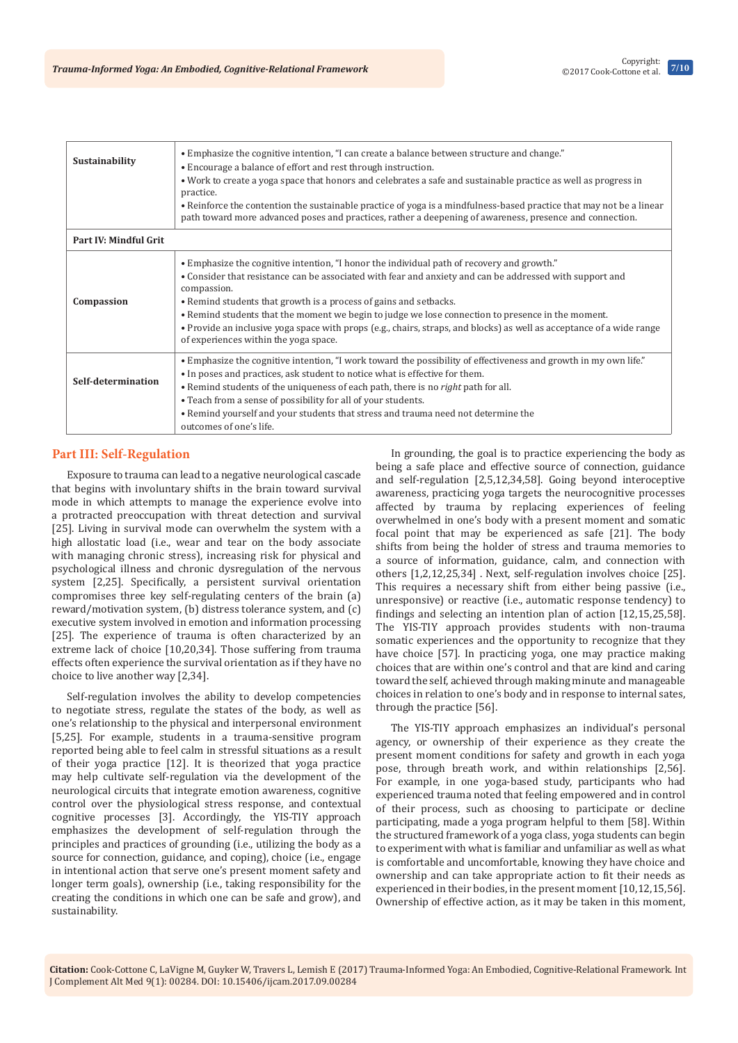

| Sustainability               | • Emphasize the cognitive intention, "I can create a balance between structure and change."<br>• Encourage a balance of effort and rest through instruction.<br>• Work to create a yoga space that honors and celebrates a safe and sustainable practice as well as progress in<br>practice.<br>• Reinforce the contention the sustainable practice of yoga is a mindfulness-based practice that may not be a linear<br>path toward more advanced poses and practices, rather a deepening of awareness, presence and connection.                                  |
|------------------------------|-------------------------------------------------------------------------------------------------------------------------------------------------------------------------------------------------------------------------------------------------------------------------------------------------------------------------------------------------------------------------------------------------------------------------------------------------------------------------------------------------------------------------------------------------------------------|
| <b>Part IV: Mindful Grit</b> |                                                                                                                                                                                                                                                                                                                                                                                                                                                                                                                                                                   |
| Compassion                   | • Emphasize the cognitive intention, "I honor the individual path of recovery and growth."<br>• Consider that resistance can be associated with fear and anxiety and can be addressed with support and<br>compassion.<br>• Remind students that growth is a process of gains and setbacks.<br>• Remind students that the moment we begin to judge we lose connection to presence in the moment.<br>• Provide an inclusive yoga space with props (e.g., chairs, straps, and blocks) as well as acceptance of a wide range<br>of experiences within the yoga space. |
| Self-determination           | • Emphasize the cognitive intention, "I work toward the possibility of effectiveness and growth in my own life."<br>• In poses and practices, ask student to notice what is effective for them.<br>• Remind students of the uniqueness of each path, there is no <i>right</i> path for all.<br>• Teach from a sense of possibility for all of your students.<br>• Remind yourself and your students that stress and trauma need not determine the<br>outcomes of one's life.                                                                                      |

# **Part III: Self-Regulation**

Exposure to trauma can lead to a negative neurological cascade that begins with involuntary shifts in the brain toward survival mode in which attempts to manage the experience evolve into a protracted preoccupation with threat detection and survival [25]. Living in survival mode can overwhelm the system with a high allostatic load (i.e., wear and tear on the body associate with managing chronic stress), increasing risk for physical and psychological illness and chronic dysregulation of the nervous system [2,25]. Specifically, a persistent survival orientation compromises three key self-regulating centers of the brain (a) reward/motivation system, (b) distress tolerance system, and (c) executive system involved in emotion and information processing [25]. The experience of trauma is often characterized by an extreme lack of choice [10,20,34]. Those suffering from trauma effects often experience the survival orientation as if they have no choice to live another way [2,34].

Self-regulation involves the ability to develop competencies to negotiate stress, regulate the states of the body, as well as one's relationship to the physical and interpersonal environment [5,25]. For example, students in a trauma-sensitive program reported being able to feel calm in stressful situations as a result of their yoga practice [12]. It is theorized that yoga practice may help cultivate self-regulation via the development of the neurological circuits that integrate emotion awareness, cognitive control over the physiological stress response, and contextual cognitive processes [3]. Accordingly, the YIS-TIY approach emphasizes the development of self-regulation through the principles and practices of grounding (i.e., utilizing the body as a source for connection, guidance, and coping), choice (i.e., engage in intentional action that serve one's present moment safety and longer term goals), ownership (i.e., taking responsibility for the creating the conditions in which one can be safe and grow), and sustainability.

In grounding, the goal is to practice experiencing the body as being a safe place and effective source of connection, guidance and self-regulation [2,5,12,34,58]. Going beyond interoceptive awareness, practicing yoga targets the neurocognitive processes affected by trauma by replacing experiences of feeling overwhelmed in one's body with a present moment and somatic focal point that may be experienced as safe [21]. The body shifts from being the holder of stress and trauma memories to a source of information, guidance, calm, and connection with others [1,2,12,25,34] . Next, self-regulation involves choice [25]. This requires a necessary shift from either being passive (i.e., unresponsive) or reactive (i.e., automatic response tendency) to findings and selecting an intention plan of action [12,15,25,58]. The YIS-TIY approach provides students with non-trauma somatic experiences and the opportunity to recognize that they have choice [57]. In practicing yoga, one may practice making choices that are within one's control and that are kind and caring toward the self, achieved through making minute and manageable choices in relation to one's body and in response to internal sates, through the practice [56].

The YIS-TIY approach emphasizes an individual's personal agency, or ownership of their experience as they create the present moment conditions for safety and growth in each yoga pose, through breath work, and within relationships [2,56]. For example, in one yoga-based study, participants who had experienced trauma noted that feeling empowered and in control of their process, such as choosing to participate or decline participating, made a yoga program helpful to them [58]. Within the structured framework of a yoga class, yoga students can begin to experiment with what is familiar and unfamiliar as well as what is comfortable and uncomfortable, knowing they have choice and ownership and can take appropriate action to fit their needs as experienced in their bodies, in the present moment [10,12,15,56]. Ownership of effective action, as it may be taken in this moment,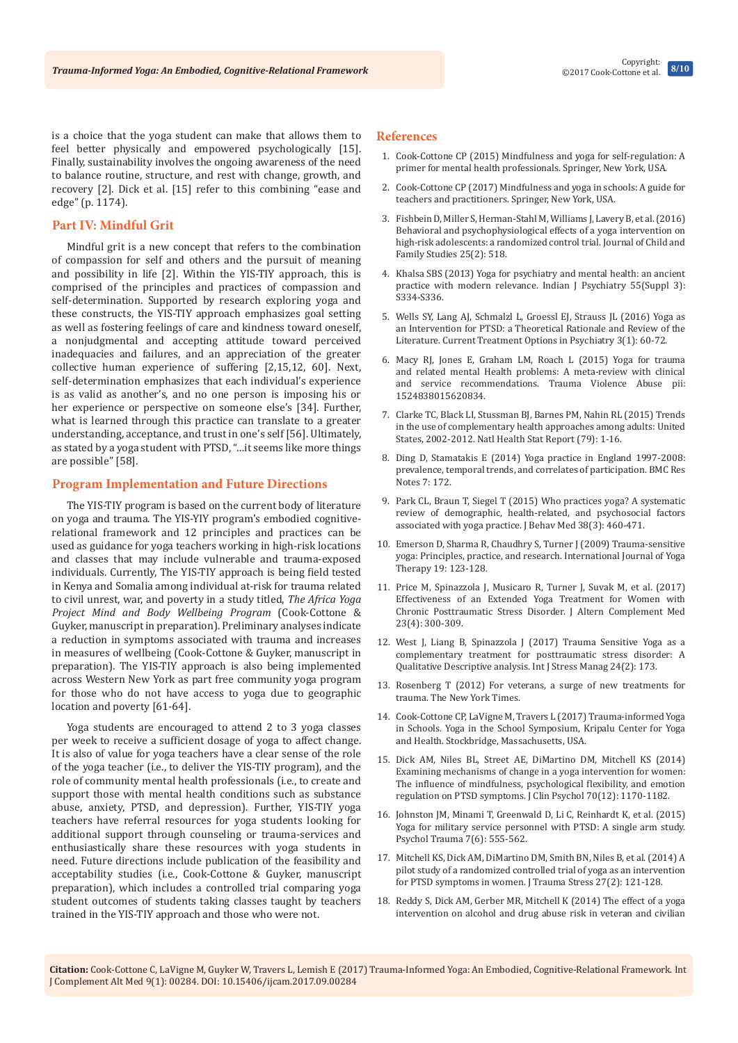is a choice that the yoga student can make that allows them to feel better physically and empowered psychologically [15]. Finally, sustainability involves the ongoing awareness of the need to balance routine, structure, and rest with change, growth, and recovery [2]. Dick et al. [15] refer to this combining "ease and edge" (p. 1174).

# **Part IV: Mindful Grit**

Mindful grit is a new concept that refers to the combination of compassion for self and others and the pursuit of meaning and possibility in life [2]. Within the YIS-TIY approach, this is comprised of the principles and practices of compassion and self-determination. Supported by research exploring yoga and these constructs, the YIS-TIY approach emphasizes goal setting as well as fostering feelings of care and kindness toward oneself, a nonjudgmental and accepting attitude toward perceived inadequacies and failures, and an appreciation of the greater collective human experience of suffering [2,15,12, 60]. Next, self-determination emphasizes that each individual's experience is as valid as another's, and no one person is imposing his or her experience or perspective on someone else's [34]. Further, what is learned through this practice can translate to a greater understanding, acceptance, and trust in one's self [56]. Ultimately, as stated by a yoga student with PTSD, "…it seems like more things are possible" [58].

## **Program Implementation and Future Directions**

The YIS-TIY program is based on the current body of literature on yoga and trauma. The YIS-YIY program's embodied cognitiverelational framework and 12 principles and practices can be used as guidance for yoga teachers working in high-risk locations and classes that may include vulnerable and trauma-exposed individuals. Currently, The YIS-TIY approach is being field tested in Kenya and Somalia among individual at-risk for trauma related to civil unrest, war, and poverty in a study titled, *The Africa Yoga Project Mind and Body Wellbeing Program* (Cook-Cottone & Guyker, manuscript in preparation). Preliminary analyses indicate a reduction in symptoms associated with trauma and increases in measures of wellbeing (Cook-Cottone & Guyker, manuscript in preparation). The YIS-TIY approach is also being implemented across Western New York as part free community yoga program for those who do not have access to yoga due to geographic location and poverty [61-64].

Yoga students are encouraged to attend 2 to 3 yoga classes per week to receive a sufficient dosage of yoga to affect change. It is also of value for yoga teachers have a clear sense of the role of the yoga teacher (i.e., to deliver the YIS-TIY program), and the role of community mental health professionals (i.e., to create and support those with mental health conditions such as substance abuse, anxiety, PTSD, and depression). Further, YIS-TIY yoga teachers have referral resources for yoga students looking for additional support through counseling or trauma-services and enthusiastically share these resources with yoga students in need. Future directions include publication of the feasibility and acceptability studies (i.e., Cook-Cottone & Guyker, manuscript preparation), which includes a controlled trial comparing yoga student outcomes of students taking classes taught by teachers trained in the YIS-TIY approach and those who were not.

#### **References**

- 1. Cook-Cottone CP (2015) Mindfulness and yoga for self-regulation: A primer for mental health professionals. Springer, New York, USA.
- 2. Cook-Cottone CP (2017) Mindfulness and yoga in schools: A guide for teachers and practitioners. Springer, New York, USA.
- 3. [Fishbein D, Miller S, Herman-Stahl M, Williams J, Lavery B, et al. \(2016\)](https://link.springer.com/article/10.1007/s10826-015-0231-6)  [Behavioral and psychophysiological effects of a yoga intervention on](https://link.springer.com/article/10.1007/s10826-015-0231-6)  [high-risk adolescents: a randomized control trial. Journal of Child and](https://link.springer.com/article/10.1007/s10826-015-0231-6)  [Family Studies 25\(2\): 518.](https://link.springer.com/article/10.1007/s10826-015-0231-6)
- 4. [Khalsa SBS \(2013\) Yoga for psychiatry and mental health: an ancient](https://www.ncbi.nlm.nih.gov/pubmed/24049194/)  practice with modern relevance. [Indian J Psychiatry 55\(Suppl 3\):](https://www.ncbi.nlm.nih.gov/pubmed/24049194/)  [S334-S336](https://www.ncbi.nlm.nih.gov/pubmed/24049194/).
- 5. [Wells SY, Lang AJ, Schmalzl L, Groessl EJ, Strauss JL \(2016\) Yoga as](https://link.springer.com/article/10.1007/s40501-016-0068-7)  [an Intervention for PTSD: a Theoretical Rationale and Review of the](https://link.springer.com/article/10.1007/s40501-016-0068-7)  [Literature. Current Treatment Options in Psychiatry 3\(1\): 60-72.](https://link.springer.com/article/10.1007/s40501-016-0068-7)
- 6. [Macy RJ, Jones E, Graham LM, Roach L \(2015\) Yoga for trauma](https://www.ncbi.nlm.nih.gov/pubmed/26656487)  [and related mental Health problems: A meta-review with clinical](https://www.ncbi.nlm.nih.gov/pubmed/26656487)  [and service recommendations. Trauma Violence Abuse pii:](https://www.ncbi.nlm.nih.gov/pubmed/26656487)  [1524838015620834.](https://www.ncbi.nlm.nih.gov/pubmed/26656487)
- 7. [Clarke TC, Black LI, Stussman BJ, Barnes PM, Nahin RL \(2015\) Trends](https://www.ncbi.nlm.nih.gov/pubmed/25671660)  [in the use of complementary health approaches among adults: United](https://www.ncbi.nlm.nih.gov/pubmed/25671660)  [States, 2002-2012. Natl Health Stat Report \(79\): 1-16.](https://www.ncbi.nlm.nih.gov/pubmed/25671660)
- 8. [Ding D, Stamatakis E \(2014\) Yoga practice in England 1997-2008:](https://www.ncbi.nlm.nih.gov/pubmed/24661723)  [prevalence, temporal trends, and correlates of participation.](https://www.ncbi.nlm.nih.gov/pubmed/24661723) BMC Res Notes [7: 172.](https://www.ncbi.nlm.nih.gov/pubmed/24661723)
- 9. [Park CL, Braun T, Siegel T \(2015\) Who practices yoga? A systematic](https://www.ncbi.nlm.nih.gov/pubmed/25627668)  [review of demographic, health-related, and psychosocial factors](https://www.ncbi.nlm.nih.gov/pubmed/25627668)  [associated with yoga practice.](https://www.ncbi.nlm.nih.gov/pubmed/25627668) J Behav Med 38(3): 460-471.
- 10. Emerson D, Sharma R, Chaudhry S, Turner J (2009) Trauma-sensitive yoga: Principles, practice, and research. International Journal of Yoga Therapy 19: 123-128.
- 11. [Price M, Spinazzola J, Musicaro R, Turner J, Suvak M, et al. \(2017\)](https://www.ncbi.nlm.nih.gov/pubmed/28121466)  [Effectiveness of an Extended Yoga Treatment for Women with](https://www.ncbi.nlm.nih.gov/pubmed/28121466)  [Chronic Posttraumatic Stress Disorder. J Altern Complement Med](https://www.ncbi.nlm.nih.gov/pubmed/28121466)  [23\(4\): 300-309.](https://www.ncbi.nlm.nih.gov/pubmed/28121466)
- 12. [West J, Liang B, Spinazzola J \(2017\) Trauma Sensitive Yoga as a](https://www.ncbi.nlm.nih.gov/pubmed/28458503)  [complementary treatment for posttraumatic stress disorder: A](https://www.ncbi.nlm.nih.gov/pubmed/28458503)  [Qualitative Descriptive analysis. Int J Stress Manag 24\(2\): 173.](https://www.ncbi.nlm.nih.gov/pubmed/28458503)
- 13. [Rosenberg T \(2012\) For veterans, a surge of new treatments for](http://nyti.ms/19GrJOc)  [trauma. The New York Times](http://nyti.ms/19GrJOc).
- 14. Cook-Cottone CP, LaVigne M, Travers L (2017) Trauma-informed Yoga in Schools. Yoga in the School Symposium, Kripalu Center for Yoga and Health. Stockbridge, Massachusetts, USA.
- 15. [Dick AM, Niles BL, Street AE, DiMartino DM, Mitchell KS \(2014\)](https://www.ncbi.nlm.nih.gov/pubmed/24888209)  [Examining mechanisms of change in a yoga intervention for women:](https://www.ncbi.nlm.nih.gov/pubmed/24888209)  [The influence of mindfulness, psychological flexibility, and emotion](https://www.ncbi.nlm.nih.gov/pubmed/24888209)  [regulation on PTSD symptoms. J Clin Psychol 70\(12\): 1170-1182.](https://www.ncbi.nlm.nih.gov/pubmed/24888209)
- 16. [Johnston JM, Minami T, Greenwald D, Li C, Reinhardt K, et al. \(2015\)](https://www.ncbi.nlm.nih.gov/pubmed/26010108)  [Yoga for military service personnel with PTSD: A single arm study.](https://www.ncbi.nlm.nih.gov/pubmed/26010108)  [Psychol Trauma 7\(6\): 555-562.](https://www.ncbi.nlm.nih.gov/pubmed/26010108)
- 17. [Mitchell KS, Dick AM, DiMartino DM, Smith BN, Niles B, et al. \(2014\) A](https://www.ncbi.nlm.nih.gov/pubmed/24668767)  [pilot study of a randomized controlled trial of yoga as an intervention](https://www.ncbi.nlm.nih.gov/pubmed/24668767)  [for PTSD symptoms in women. J Trauma Stress 27\(2\): 121-128.](https://www.ncbi.nlm.nih.gov/pubmed/24668767)
- 18. [Reddy S, Dick AM, Gerber MR, Mitchell K \(2014\) The effect of a yoga](https://www.ncbi.nlm.nih.gov/pubmed/25211372)  [intervention on alcohol and drug abuse risk in veteran and civilian](https://www.ncbi.nlm.nih.gov/pubmed/25211372)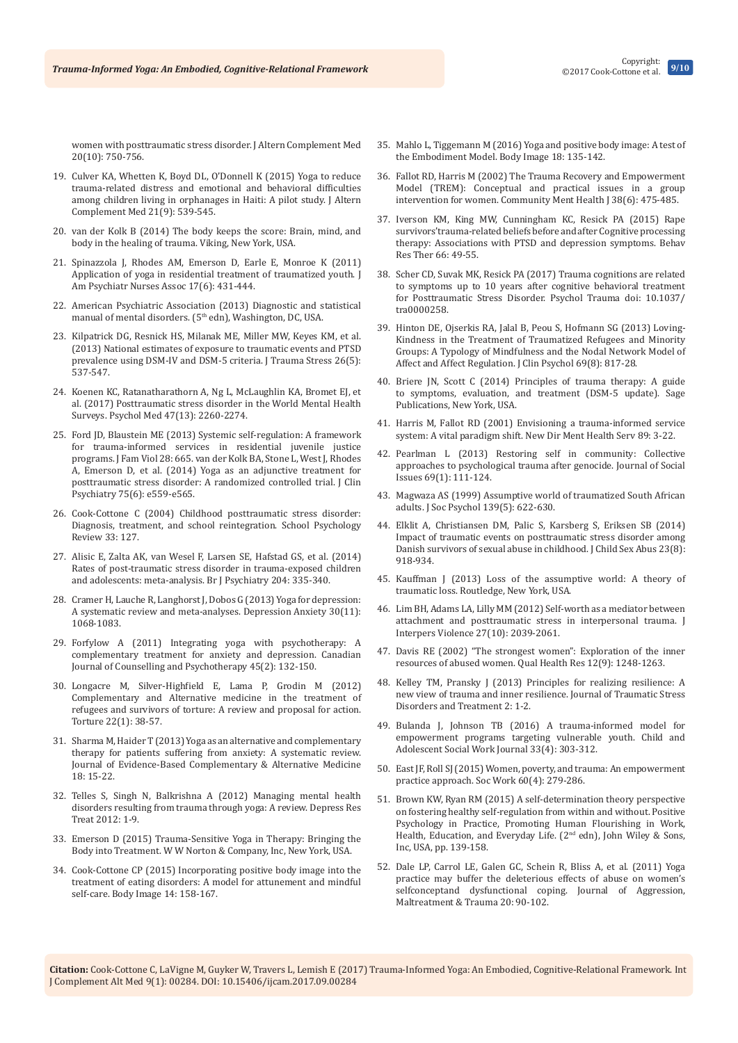©2017 Cook-Cottone et al.

[women with posttraumatic stress disorder. J Altern Complement Med](https://www.ncbi.nlm.nih.gov/pubmed/25211372)  [20\(10\): 750-756.](https://www.ncbi.nlm.nih.gov/pubmed/25211372)

- 19. [Culver KA, Whetten K, Boyd DL, O'Donnell K \(2015\) Yoga to reduce](https://www.ncbi.nlm.nih.gov/pubmed/26090580)  [trauma-related distress and emotional and behavioral difficulties](https://www.ncbi.nlm.nih.gov/pubmed/26090580)  [among children living in orphanages in Haiti: A pilot study. J Altern](https://www.ncbi.nlm.nih.gov/pubmed/26090580)  [Complement Med 21\(9\): 539-545.](https://www.ncbi.nlm.nih.gov/pubmed/26090580)
- 20. van der Kolk B (2014) The body keeps the score: Brain, mind, and body in the healing of trauma. Viking, New York, USA.
- 21. [Spinazzola J, Rhodes AM, Emerson D, Earle E, Monroe K \(2011\)](https://www.ncbi.nlm.nih.gov/pubmed/21868714)  [Application of yoga in residential treatment of traumatized youth. J](https://www.ncbi.nlm.nih.gov/pubmed/21868714)  [Am Psychiatr Nurses Assoc 17\(6\): 431-444.](https://www.ncbi.nlm.nih.gov/pubmed/21868714)
- 22. American Psychiatric Association (2013) Diagnostic and statistical manual of mental disorders. (5<sup>th</sup> edn), Washington, DC, USA.
- 23. [Kilpatrick DG, Resnick HS, Milanak ME, Miller MW, Keyes KM, et al.](https://www.ncbi.nlm.nih.gov/pubmed/24151000)  [\(2013\) National estimates of exposure to traumatic events and PTSD](https://www.ncbi.nlm.nih.gov/pubmed/24151000)  prevalence using DSM-IV and DSM-5 criteria. J Trauma Stress 26(5): [537-547.](https://www.ncbi.nlm.nih.gov/pubmed/24151000)
- 24. [Koenen KC, Ratanatharathorn A, Ng L, McLaughlin KA, Bromet EJ, et](https://www.ncbi.nlm.nih.gov/pubmed/28385165)  [al. \(2017\) Posttraumatic stress disorder in the World Mental Health](https://www.ncbi.nlm.nih.gov/pubmed/28385165)  Surveys. [Psychol Med 47\(13\): 2260-2274.](https://www.ncbi.nlm.nih.gov/pubmed/28385165)
- 25. [Ford JD, Blaustein ME \(2013\) Systemic self-regulation: A framework](http://www.traumacenter.org/products/pdf_files/Trauma%20Services%20in%20Residential%20Juvenile%20Justice%20Settings_Ford_Blaustein.pdf)  [for trauma-informed services in residential juvenile justice](http://www.traumacenter.org/products/pdf_files/Trauma%20Services%20in%20Residential%20Juvenile%20Justice%20Settings_Ford_Blaustein.pdf)  [programs.](http://www.traumacenter.org/products/pdf_files/Trauma%20Services%20in%20Residential%20Juvenile%20Justice%20Settings_Ford_Blaustein.pdf) J Fam Viol 28: 665. [van der Kolk BA, Stone L, West J, Rhodes](https://www.ncbi.nlm.nih.gov/pubmed/25004196)  [A, Emerson D, et al. \(2014\) Yoga as an adjunctive treatment for](https://www.ncbi.nlm.nih.gov/pubmed/25004196)  [posttraumatic stress disorder: A randomized controlled trial. J Clin](https://www.ncbi.nlm.nih.gov/pubmed/25004196)  [Psychiatry 75\(6\): e559-e565.](https://www.ncbi.nlm.nih.gov/pubmed/25004196)
- 26. Cook-Cottone C (2004) Childhood posttraumatic stress disorder: Diagnosis, treatment, and school reintegration. School Psychology Review 33: 127.
- 27. [Alisic E, Zalta AK, van Wesel F, Larsen SE, Hafstad GS, et al. \(2014\)](https://www.ncbi.nlm.nih.gov/pubmed/24785767)  [Rates of post-traumatic stress disorder in trauma-exposed children](https://www.ncbi.nlm.nih.gov/pubmed/24785767)  [and adolescents: meta-analysis.](https://www.ncbi.nlm.nih.gov/pubmed/24785767) Br J Psychiatry 204: 335-340.
- 28. [Cramer H, Lauche R, Langhorst J, Dobos G \(2013\) Yoga for depression:](https://www.ncbi.nlm.nih.gov/pubmed/23922209)  [A systematic review and meta-analyses. Depression Anxiety 30\(11\):](https://www.ncbi.nlm.nih.gov/pubmed/23922209)  [1068-1083.](https://www.ncbi.nlm.nih.gov/pubmed/23922209)
- 29. Forfylow A (2011) Integrating yoga with psychotherapy: A complementary treatment for anxiety and depression. Canadian Journal of Counselling and Psychotherapy 45(2): 132-150.
- 30. [Longacre M, Silver-Highfield E, Lama P, Grodin M \(2012\)](https://www.ncbi.nlm.nih.gov/pubmed/23086004)  [Complementary and Alternative medicine in the treatment of](https://www.ncbi.nlm.nih.gov/pubmed/23086004)  [refugees and survivors of torture: A review and proposal for action.](https://www.ncbi.nlm.nih.gov/pubmed/23086004)  [Torture 22\(1\): 38-57.](https://www.ncbi.nlm.nih.gov/pubmed/23086004)
- 31. [Sharma M, Haider T \(2013\) Yoga as an alternative and complementary](http://journals.sagepub.com/doi/abs/10.1177/2156587212460046)  [therapy for patients suffering from anxiety: A systematic review.](http://journals.sagepub.com/doi/abs/10.1177/2156587212460046)  [Journal of Evidence-Based Complementary & Alternative Medicine](http://journals.sagepub.com/doi/abs/10.1177/2156587212460046)  [18: 15-22.](http://journals.sagepub.com/doi/abs/10.1177/2156587212460046)
- 32. [Telles S, Singh N, Balkrishna A \(2012\) Managing mental health](https://www.ncbi.nlm.nih.gov/pubmed/22778930)  [disorders resulting from trauma through yoga: A review. Depress Res](https://www.ncbi.nlm.nih.gov/pubmed/22778930)  [Treat 2012: 1-9.](https://www.ncbi.nlm.nih.gov/pubmed/22778930)
- 33. Emerson D (2015) Trauma-Sensitive Yoga in Therapy: Bringing the Body into Treatment. W W Norton & Company, Inc, New York, USA.
- 34. [Cook-Cottone CP \(2015\) Incorporating positive body image into the](https://www.ncbi.nlm.nih.gov/pubmed/25886712)  [treatment of eating disorders: A model for attunement and mindful](https://www.ncbi.nlm.nih.gov/pubmed/25886712)  self-care. Body Image [14: 158-167.](https://www.ncbi.nlm.nih.gov/pubmed/25886712)
- 35. [Mahlo L, Tiggemann M \(2016\) Yoga and positive body image: A test of](https://www.ncbi.nlm.nih.gov/pubmed/27434106)  [the Embodiment Model. Body Image 18: 135-142.](https://www.ncbi.nlm.nih.gov/pubmed/27434106)
- 36. [Fallot RD, Harris M \(2002\) The Trauma Recovery and Empowerment](https://www.ncbi.nlm.nih.gov/pubmed/12474935)  [Model \(TREM\): Conceptual and practical issues in a group](https://www.ncbi.nlm.nih.gov/pubmed/12474935)  [intervention for women. Community Ment Health J 38\(6\): 475-485.](https://www.ncbi.nlm.nih.gov/pubmed/12474935)
- 37. [Iverson KM, King MW, Cunningham KC, Resick PA \(2015\) Rape](https://www.ncbi.nlm.nih.gov/pubmed/25698164)  [survivors'trauma-related beliefs before and after Cognitive processing](https://www.ncbi.nlm.nih.gov/pubmed/25698164)  [therapy: Associations with PTSD and depression symptoms. Behav](https://www.ncbi.nlm.nih.gov/pubmed/25698164)  [Res Ther 66: 49-55.](https://www.ncbi.nlm.nih.gov/pubmed/25698164)
- 38. [Scher CD, Suvak MK, Resick PA \(2017\) Trauma cognitions are related](https://www.ncbi.nlm.nih.gov/pubmed/28182457)  [to symptoms up to 10 years after cognitive behavioral treatment](https://www.ncbi.nlm.nih.gov/pubmed/28182457)  [for Posttraumatic Stress Disorder. Psychol Trauma doi: 10.1037/](https://www.ncbi.nlm.nih.gov/pubmed/28182457) [tra0000258.](https://www.ncbi.nlm.nih.gov/pubmed/28182457)
- 39. [Hinton DE, Ojserkis RA, Jalal B, Peou S, Hofmann SG \(2013\) Loving‐](https://www.ncbi.nlm.nih.gov/pubmed/23784718) [Kindness in the Treatment of Traumatized Refugees and Minority](https://www.ncbi.nlm.nih.gov/pubmed/23784718)  [Groups: A Typology of Mindfulness and the Nodal Network Model of](https://www.ncbi.nlm.nih.gov/pubmed/23784718)  [Affect and Affect Regulation. J Clin Psychol 69\(8\): 817-28.](https://www.ncbi.nlm.nih.gov/pubmed/23784718)
- 40. Briere JN, Scott C (2014) Principles of trauma therapy: A guide to symptoms, evaluation, and treatment (DSM-5 update). Sage Publications, New York, USA.
- 41. [Harris M, Fallot RD \(2001\) Envisioning a trauma-informed service](https://www.ncbi.nlm.nih.gov/pubmed/11291260)  [system: A vital paradigm shift. New Dir Ment Health Serv 89: 3-22.](https://www.ncbi.nlm.nih.gov/pubmed/11291260)
- 42. [Pearlman L \(2013\) Restoring self in community: Collective](http://onlinelibrary.wiley.com/doi/10.1111/josi.12006/abstract)  [approaches to psychological trauma after genocide. Journal of Social](http://onlinelibrary.wiley.com/doi/10.1111/josi.12006/abstract)  [Issues 69\(1\): 111-124.](http://onlinelibrary.wiley.com/doi/10.1111/josi.12006/abstract)
- 43. [Magwaza AS \(1999\) Assumptive world of traumatized South African](https://www.ncbi.nlm.nih.gov/pubmed/10897295)  [adults. J Soc Psychol 139\(5\): 622-630.](https://www.ncbi.nlm.nih.gov/pubmed/10897295)
- 44. [Elklit A, Christiansen DM, Palic S, Karsberg S, Eriksen SB \(2014\)](https://www.ncbi.nlm.nih.gov/pubmed/25256036)  [Impact of traumatic events on posttraumatic stress disorder among](https://www.ncbi.nlm.nih.gov/pubmed/25256036)  [Danish survivors of sexual abuse in childhood. J Child Sex Abus 23\(8\):](https://www.ncbi.nlm.nih.gov/pubmed/25256036)  [918-934.](https://www.ncbi.nlm.nih.gov/pubmed/25256036)
- 45. Kauffman J (2013) Loss of the assumptive world: A theory of traumatic loss. Routledge, New York, USA.
- 46. [Lim BH, Adams LA, Lilly MM \(2012\) Self-worth as a mediator between](https://www.ncbi.nlm.nih.gov/pubmed/22328657)  [attachment and posttraumatic stress in interpersonal trauma. J](https://www.ncbi.nlm.nih.gov/pubmed/22328657)  [Interpers Violence 27\(10\): 2039-2061.](https://www.ncbi.nlm.nih.gov/pubmed/22328657)
- 47. [Davis RE \(2002\) "The strongest women": Exploration of the inner](https://www.ncbi.nlm.nih.gov/pubmed/12448670)  [resources of abused women. Qual Health Res 12\(9\): 1248-1263.](https://www.ncbi.nlm.nih.gov/pubmed/12448670)
- 48. [Kelley TM, Pransky J \(2013\) Principles for realizing resilience: A](http://www.three-principles.com/wp-content/uploads/2015/02/1-Principles-for-Realizing.pdf)  [new view of trauma and inner resilience.](http://www.three-principles.com/wp-content/uploads/2015/02/1-Principles-for-Realizing.pdf) Journal of Traumatic Stress [Disorders and Treatment 2:](http://www.three-principles.com/wp-content/uploads/2015/02/1-Principles-for-Realizing.pdf) 1-2.
- 49. [Bulanda J, Johnson TB \(2016\) A trauma-informed model for](https://link.springer.com/article/10.1007/s10560-015-0427-z)  [empowerment programs targeting vulnerable youth.](https://link.springer.com/article/10.1007/s10560-015-0427-z) Child and [Adolescent Social Work Journal](https://link.springer.com/article/10.1007/s10560-015-0427-z) 33(4): 303-312.
- 50. [East JF, Roll SJ \(2015\) Women, poverty, and trauma: An empowerment](https://www.ncbi.nlm.nih.gov/pubmed/26489348)  practice approach. [Soc Work 60\(4\): 279-286.](https://www.ncbi.nlm.nih.gov/pubmed/26489348)
- 51. [Brown KW, Ryan RM \(2015\) A self‐determination theory perspective](http://onlinelibrary.wiley.com/doi/10.1002/9781118996874.ch9/summary)  [on fostering healthy self‐regulation from within and without. Positive](http://onlinelibrary.wiley.com/doi/10.1002/9781118996874.ch9/summary)  [Psychology in Practice, Promoting Human Flourishing in Work,](http://onlinelibrary.wiley.com/doi/10.1002/9781118996874.ch9/summary)  [Health, Education, and Everyday Life. \(2](http://onlinelibrary.wiley.com/doi/10.1002/9781118996874.ch9/summary)<sup>nd</sup> edn), John Wiley & Sons, [Inc, USA, pp. 139-158.](http://onlinelibrary.wiley.com/doi/10.1002/9781118996874.ch9/summary)
- 52. [Dale LP, Carrol LE, Galen GC, Schein R, Bliss A, et al. \(2011\) Yoga](file:///D:/krishna/PDF/SEP-2017/26-SEP-2017/IJCAM-09-00284/IJCAM-17-RW-485_W/Yoga%20practice%20may%20buffer%20the%20deleterious%20effects%20of%20abuse%20on%20women)  [practice may buffer the deleterious effects of abuse on women's](file:///D:/krishna/PDF/SEP-2017/26-SEP-2017/IJCAM-09-00284/IJCAM-17-RW-485_W/Yoga%20practice%20may%20buffer%20the%20deleterious%20effects%20of%20abuse%20on%20women)  selfconceptand dysfunctional coping. Journal of Aggression, [Maltreatment & Trauma 20: 90-102.](file:///D:/krishna/PDF/SEP-2017/26-SEP-2017/IJCAM-09-00284/IJCAM-17-RW-485_W/Yoga%20practice%20may%20buffer%20the%20deleterious%20effects%20of%20abuse%20on%20women)